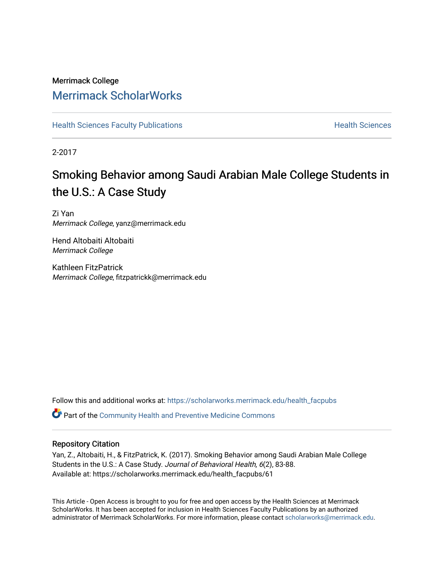## Merrimack College [Merrimack ScholarWorks](https://scholarworks.merrimack.edu/)

**[Health Sciences Faculty Publications](https://scholarworks.merrimack.edu/health_facpubs) Mealth Sciences Health Sciences** Health Sciences

2-2017

# Smoking Behavior among Saudi Arabian Male College Students in the U.S.: A Case Study

Zi Yan Merrimack College, yanz@merrimack.edu

Hend Altobaiti Altobaiti Merrimack College

Kathleen FitzPatrick Merrimack College, fitzpatrickk@merrimack.edu

Follow this and additional works at: [https://scholarworks.merrimack.edu/health\\_facpubs](https://scholarworks.merrimack.edu/health_facpubs?utm_source=scholarworks.merrimack.edu%2Fhealth_facpubs%2F61&utm_medium=PDF&utm_campaign=PDFCoverPages) 

**P** Part of the [Community Health and Preventive Medicine Commons](http://network.bepress.com/hgg/discipline/744?utm_source=scholarworks.merrimack.edu%2Fhealth_facpubs%2F61&utm_medium=PDF&utm_campaign=PDFCoverPages)

## Repository Citation

Yan, Z., Altobaiti, H., & FitzPatrick, K. (2017). Smoking Behavior among Saudi Arabian Male College Students in the U.S.: A Case Study. Journal of Behavioral Health, 6(2), 83-88. Available at: https://scholarworks.merrimack.edu/health\_facpubs/61

This Article - Open Access is brought to you for free and open access by the Health Sciences at Merrimack ScholarWorks. It has been accepted for inclusion in Health Sciences Faculty Publications by an authorized administrator of Merrimack ScholarWorks. For more information, please contact [scholarworks@merrimack.edu](mailto:scholarworks@merrimack.edu).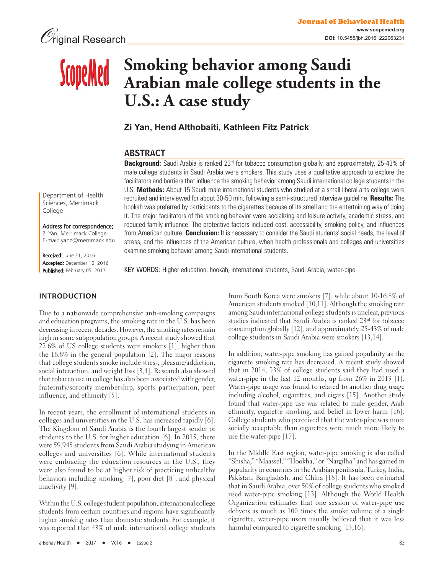## **Smoking behavior among Saudi**  ScopeMed **Arabian male college students in the U.S.: A case study**

## **Zi Yan, Hend Althobaiti, Kathleen Fitz Patrick**

## ABSTRACT

Background: Saudi Arabia is ranked 23<sup>rd</sup> for tobacco consumption globally, and approximately, 25-43% of male college students in Saudi Arabia were smokers. This study uses a qualitative approach to explore the facilitators and barriers that influence the smoking behavior among Saudi international college students in the U.S. **Methods:** About 15 Saudi male international students who studied at a small liberal arts college were recruited and interviewed for about 30-50 min, following a semi-structured interview guideline. **Results:** The hookah was preferred by participants to the cigarettes because of its smell and the entertaining way of doing it. The major facilitators of the smoking behavior were socializing and leisure activity, academic stress, and reduced family influence. The protective factors included cost, accessibility, smoking policy, and influences from American culture. **Conclusion:** It is necessary to consider the Saudi students' social needs, the level of stress, and the influences of the American culture, when health professionals and colleges and universities examine smoking behavior among Saudi international students.

E-mail: yanz@merrimack.edu

Received: June 21, 2016 Accepted: December 10, 2016 Published: February 05, 2017

Address for correspondence: Zi Yan, Merrimack College.

Department of Health Sciences, Merrimack

College

KEY WORDS: Higher education, hookah, international students, Saudi Arabia, water-pipe

## **INTRODUCTION**

Due to a nationwide comprehensive anti-smoking campaigns and education programs, the smoking rate in the U.S. has been decreasing in recent decades. However, the smoking rates remain high in some subpopulation groups. A recent study showed that 22.6% of US college students were smokers [1], higher than the 16.8% in the general population [2]. The major reasons that college students smoke include stress, pleasure/addiction, social interaction, and weight loss [3,4]. Research also showed that tobacco use in college has also been associated with gender, fraternity/sorority membership, sports participation, peer influence, and ethnicity [5].

In recent years, the enrollment of international students in colleges and universities in the U.S. has increased rapidly [6]. The Kingdom of Saudi Arabia is the fourth largest sender of students to the U.S. for higher education [6]. In 2015, there were 59,945 students from Saudi Arabia studying in American colleges and universities [6]. While international students were embracing the education resources in the U.S., they were also found to be at higher risk of practicing unhealthy behaviors including smoking [7], poor diet [8], and physical inactivity [9].

Within the U.S. college student population, international college students from certain countries and regions have significantly higher smoking rates than domestic students. For example, it was reported that 43% of male international college students from South Korea were smokers [7], while about 10-16.8% of American students smoked [10,11]. Although the smoking rate among Saudi international college students is unclear, previous studies indicated that Saudi Arabia is ranked 23rd for tobacco consumption globally [12], and approximately, 25-43% of male college students in Saudi Arabia were smokers [13,14].

In addition, water-pipe smoking has gained popularity as the cigarette smoking rate has decreased. A recent study showed that in 2014, 33% of college students said they had used a water-pipe in the last 12 months, up from 26% in 2013 [1]. Water-pipe usage was found to related to another drug usage including alcohol, cigarettes, and cigars [15]. Another study found that water-pipe use was related to male gender, Arab ethnicity, cigarette smoking, and belief in lower harm [16]. College students who perceived that the water-pipe was more socially acceptable than cigarettes were much more likely to use the water-pipe [17].

In the Middle East region, water-pipe smoking is also called "Shisha," "Maassel," "Hookha," or "Nargilha" and has gained in popularity in countries in the Arabian peninsula, Turkey, India, Pakistan, Bangladesh, and China [18]. It has been estimated that in Saudi Arabia, over 50% of college students who smoked used water-pipe smoking [13]. Although the World Health Organization estimates that one session of water-pipe use delivers as much as 100 times the smoke volume of a single cigarette, water-pipe users usually believed that it was less harmful compared to cigarette smoking [13,16].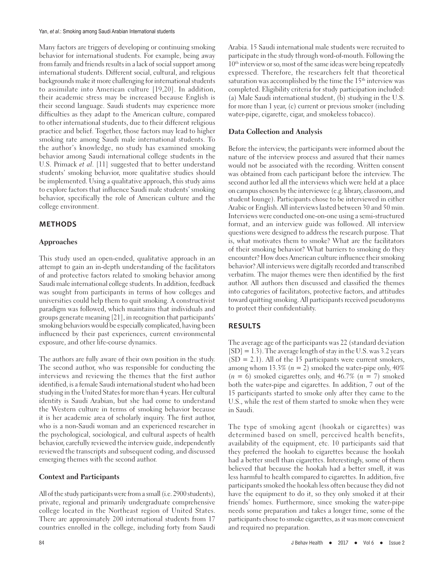Many factors are triggers of developing or continuing smoking behavior for international students. For example, being away from family and friends results in a lack of social support among international students. Different social, cultural, and religious backgrounds make it more challenging for international students to assimilate into American culture [19,20]. In addition, their academic stress may be increased because English is their second language. Saudi students may experience more difficulties as they adapt to the American culture, compared to other international students, due to their different religious practice and belief. Together, those factors may lead to higher smoking rate among Saudi male international students. To the author's knowledge, no study has examined smoking behavior among Saudi international college students in the U.S. Primack et al. [11] suggested that to better understand students' smoking behavior, more qualitative studies should be implemented. Using a qualitative approach, this study aims to explore factors that influence Saudi male students' smoking behavior, specifically the role of American culture and the college environment.

## **METHODS**

## **Approaches**

This study used an open-ended, qualitative approach in an attempt to gain an in-depth understanding of the facilitators of and protective factors related to smoking behavior among Saudi male international college students. In addition, feedback was sought from participants in terms of how colleges and universities could help them to quit smoking. A constructivist paradigm was followed, which maintains that individuals and groups generate meaning [21], in recognition that participants' smoking behaviors would be especially complicated, having been influenced by their past experiences, current environmental exposure, and other life-course dynamics.

The authors are fully aware of their own position in the study. The second author, who was responsible for conducting the interviews and reviewing the themes that the first author identified, is a female Saudi international student who had been studying in the United States for more than 4 years. Her cultural identity is Saudi Arabian, but she had come to understand the Western culture in terms of smoking behavior because it is her academic area of scholarly inquiry. The first author, who is a non-Saudi woman and an experienced researcher in the psychological, sociological, and cultural aspects of health behavior, carefully reviewed the interview guide, independently reviewed the transcripts and subsequent coding, and discussed emerging themes with the second author.

## **Context and Participants**

All of the study participants were from a small (i.e. 2900 students), private, regional and primarily undergraduate comprehensive college located in the Northeast region of United States. There are approximately 200 international students from 17 countries enrolled in the college, including forty from Saudi Arabia. 15 Saudi international male students were recruited to participate in the study through word-of-mouth. Following the 10<sup>th</sup> interview or so, most of the same ideas were being repeatedly expressed. Therefore, the researchers felt that theoretical saturation was accomplished by the time the 15<sup>th</sup> interview was completed. Eligibility criteria for study participation included: (a) Male Saudi international student, (b) studying in the U.S. for more than 1 year, (c) current or previous smoker (including water-pipe, cigarette, cigar, and smokeless tobacco).

### **Data Collection and Analysis**

Before the interview, the participants were informed about the nature of the interview process and assured that their names would not be associated with the recording. Written consent was obtained from each participant before the interview. The second author led all the interviews which were held at a place on campus chosen by the interviewee (e.g. library, classroom, and student lounge). Participants chose to be interviewed in either Arabic or English. All interviews lasted between 30 and 50 min. Interviews were conducted one-on-one using a semi-structured format, and an interview guide was followed. All interview questions were designed to address the research purpose. That is, what motivates them to smoke? What are the facilitators of their smoking behavior? What barriers to smoking do they encounter? How does American culture influence their smoking behavior? All interviews were digitally recorded and transcribed verbatim. The major themes were then identified by the first author. All authors then discussed and classified the themes into categories of facilitators, protective factors, and attitudes toward quitting smoking. All participants received pseudonyms to protect their confidentiality.

## **RESULTS**

The average age of the participants was 22 (standard deviation  $[SD] = 1.3$ ). The average length of stay in the U.S. was 3.2 years  $(SD = 2.1)$ . All of the 15 participants were current smokers, among whom 13.3% ( $n = 2$ ) smoked the water-pipe only, 40%  $(n = 6)$  smoked cigarettes only, and 46.7%  $(n = 7)$  smoked both the water-pipe and cigarettes. In addition, 7 out of the 15 participants started to smoke only after they came to the U.S., while the rest of them started to smoke when they were in Saudi.

The type of smoking agent (hookah or cigarettes) was determined based on smell, perceived health benefits, availability of the equipment, etc. 10 participants said that they preferred the hookah to cigarettes because the hookah had a better smell than cigarettes. Interestingly, some of them believed that because the hookah had a better smell, it was less harmful to health compared to cigarettes. In addition, five participants smoked the hookah less often because they did not have the equipment to do it, so they only smoked it at their friends' homes. Furthermore, since smoking the water-pipe needs some preparation and takes a longer time, some of the participants chose to smoke cigarettes, as it was more convenient and required no preparation.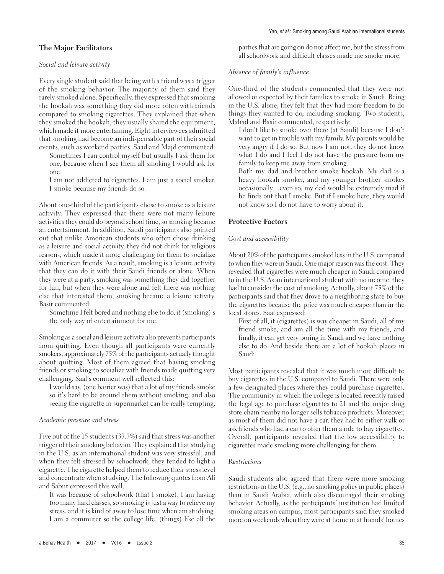#### **The Major Facilitators**

#### Social and leisure activity

Every single student said that being with a friend was a trigger of the smoking behavior. The majority of them said they rarely smoked alone. Specifically, they expressed that smoking the hookah was something they did more often with friends compared to smoking cigarettes. They explained that when they smoked the hookah, they usually shared the equipment, which made it more entertaining. Eight interviewees admitted that smoking had become an indispensable part of their social events, such as weekend parties. Saad and Majd commented:

Sometimes I can control myself but usually I ask them for one, because when I see them all smoking I would ask for one.

I am not addicted to cigarettes. I am just a social smoker. I smoke because my friends do so.

About one-third of the participants chose to smoke as a leisure activity. They expressed that there were not many leisure activities they could do beyond school time, so smoking became an entertainment. In addition, Saudi participants also pointed out that unlike American students who often chose drinking as a leisure and social activity, they did not drink for religious reasons, which made it more challenging for them to socialize with American friends. As a result, smoking is a leisure activity that they can do it with their Saudi friends or alone. When they were at a party, smoking was something they did together for fun, but when they were alone and felt there was nothing else that interested them, smoking became a leisure activity. Basir commented:

Sometime I felt bored and nothing else to do, it (smoking)'s the only way of entertainment for me.

Smoking as a social and leisure activity also prevents participants from quitting. Even though all participants were currently smokers, approximately 75% of the participants actually thought about quitting. Most of them agreed that having smoking friends or smoking to socialize with friends made quitting very challenging. Saal's comment well reflected this:

I would say, (one barrier was) that a lot of my friends smoke so it's hard to be around them without smoking, and also seeing the cigarette in supermarket can be really tempting.

#### Academic pressure and stress

Five out of the 15 students (33.3%) said that stress was another trigger of their smoking behavior. They explained that studying in the U.S. as an international student was very stressful, and when they felt stressed by schoolwork, they tended to light a cigarette. The cigarette helped them to reduce their stress level and concentrate when studying. The following quotes from Ali and Sabur expressed this well.

It was because of schoolwork (that I smoke). I am having too many hard classes, so smoking is just a way to relieve my stress, and it is kind of away to lose time when am studying. I am a commuter so the college life, (things) like all the parties that are going on do not affect me, but the stress from all schoolwork and difficult classes made me smoke more.

#### Absence of family's influence

One-third of the students commented that they were not allowed or expected by their families to smoke in Saudi. Being in the U.S. alone, they felt that they had more freedom to do things they wanted to do, including smoking. Two students, Mahad and Basir commented, respectively:

I don't like to smoke over there (at Saudi) because I don't want to get in trouble with my family. My parents would be very angry if I do so. But now I am not, they do not know what I do and I feel I do not have the pressure from my family to keep me away from smoking.

Both my dad and brother smoke hookah. My dad is a heavy hookah smoker, and my younger brother smokes occasionally…even so, my dad would be extremely mad if he finds out that I smoke. But if I smoke here, they would not know so I do not have to worry about it.

#### **Protective Factors**

#### Cost and accessibility

About 20% of the participants smoked less in the U.S. compared to when they were in Saudi. One major reason was the cost. They revealed that cigarettes were much cheaper in Saudi compared to in the U.S. As an international student with no income; they had to consider the cost of smoking. Actually, about 75% of the participants said that they drove to a neighboring state to buy the cigarettes because the price was much cheaper than in the local stores. Saal expressed:

First of all, it (cigarettes) is way cheaper in Saudi, all of my friend smoke, and am all the time with my friends, and finally, it can get very boring in Saudi and we have nothing else to do. And beside there are a lot of hookah places in Saudi.

Most participants revealed that it was much more difficult to buy cigarettes in the U.S. compared to Saudi. There were only a few designated places where they could purchase cigarettes. The community in which the college is located recently raised the legal age to purchase cigarettes to 21 and the major drug store chain nearby no longer sells tobacco products. Moreover, as most of them did not have a car, they had to either walk or ask friends who had a car to offer them a ride to buy cigarettes. Overall, participants revealed that the low accessibility to cigarettes made smoking more challenging for them.

#### Restrictions

Saudi students also agreed that there were more smoking restrictions in the U.S. (e.g., no smoking policy in public places) than in Saudi Arabia, which also discouraged their smoking behavior. Actually, as the participants' institution had limited smoking areas on campus, most participants said they smoked more on weekends when they were at home or at friends' homes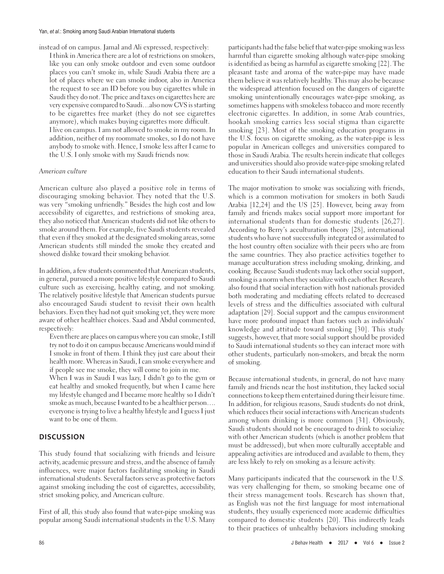- instead of on campus. Jamal and Ali expressed, respectively:
	- I think in America there are a lot of restrictions on smokers, like you can only smoke outdoor and even some outdoor places you can't smoke in, while Saudi Arabia there are a lot of places where we can smoke indoor, also in America the request to see an ID before you buy cigarettes while in Saudi they do not. The price and taxes on cigarettes here are very expensive compared to Saudi…also now CVS is starting to be cigarettes free market (they do not see cigarettes anymore), which makes buying cigarettes more difficult. I live on campus. I am not allowed to smoke in my room. In addition, neither of my roommate smokes, so I do not have anybody to smoke with. Hence, I smoke less after I came to the U.S. I only smoke with my Saudi friends now.

#### American culture

American culture also played a positive role in terms of discouraging smoking behavior. They noted that the U.S. was very "smoking unfriendly." Besides the high cost and low accessibility of cigarettes, and restrictions of smoking area, they also noticed that American students did not like others to smoke around them. For example, five Saudi students revealed that even if they smoked at the designated smoking areas, some American students still minded the smoke they created and showed dislike toward their smoking behavior.

In addition, a few students commented that American students, in general, pursued a more positive lifestyle compared to Saudi culture such as exercising, healthy eating, and not smoking. The relatively positive lifestyle that American students pursue also encouraged Saudi student to revisit their own health behaviors. Even they had not quit smoking yet, they were more aware of other healthier choices. Saad and Abdul commented, respectively:

Even there are places on campus where you can smoke, I still try not to do it on campus because Americans would mind if I smoke in front of them. I think they just care about their health more. Whereas in Saudi, I can smoke everywhere and if people see me smoke, they will come to join in me.

When I was in Saudi I was lazy, I didn't go to the gym or eat healthy and smoked frequently, but when I came here my lifestyle changed and I became more healthy so I didn't smoke as much, because I wanted to be a healthier person…. everyone is trying to live a healthy lifestyle and I guess I just want to be one of them.

## **DISCUSSION**

This study found that socializing with friends and leisure activity, academic pressure and stress, and the absence of family influences, were major factors facilitating smoking in Saudi international students. Several factors serve as protective factors against smoking including the cost of cigarettes, accessibility, strict smoking policy, and American culture.

First of all, this study also found that water-pipe smoking was popular among Saudi international students in the U.S. Many participants had the false belief that water-pipe smoking was less harmful than cigarette smoking although water-pipe smoking is identified as being as harmful as cigarette smoking [22]. The pleasant taste and aroma of the water-pipe may have made them believe it was relatively healthy. This may also be because the widespread attention focused on the dangers of cigarette smoking unintentionally encourages water-pipe smoking, as sometimes happens with smokeless tobacco and more recently electronic cigarettes. In addition, in some Arab countries, hookah smoking carries less social stigma than cigarette smoking [23]. Most of the smoking education programs in the U.S. focus on cigarette smoking, as the water-pipe is less popular in American colleges and universities compared to those in Saudi Arabia. The results herein indicate that colleges and universities should also provide water-pipe smoking related education to their Saudi international students.

The major motivation to smoke was socializing with friends, which is a common motivation for smokers in both Saudi Arabia [12,24] and the US [25]. However, being away from family and friends makes social support more important for international students than for domestic students [26,27]. According to Berry's acculturation theory [28], international students who have not successfully integrated or assimilated to the host country often socialize with their peers who are from the same countries. They also practice activities together to manage acculturation stress including smoking, drinking, and cooking. Because Saudi students may lack other social support, smoking is a norm when they socialize with each other. Research also found that social interaction with host nationals provided both moderating and mediating effects related to decreased levels of stress and the difficulties associated with cultural adaptation [29]. Social support and the campus environment have more profound impact than factors such as individuals' knowledge and attitude toward smoking [30]. This study suggests, however, that more social support should be provided to Saudi international students so they can interact more with other students, particularly non-smokers, and break the norm of smoking.

Because international students, in general, do not have many family and friends near the host institution, they lacked social connections to keep them entertained during their leisure time. In addition, for religious reasons, Saudi students do not drink, which reduces their social interactions with American students among whom drinking is more common [31]. Obviously, Saudi students should not be encouraged to drink to socialize with other American students (which is another problem that must be addressed), but when more culturally acceptable and appealing activities are introduced and available to them, they are less likely to rely on smoking as a leisure activity.

Many participants indicated that the coursework in the U.S. was very challenging for them, so smoking became one of their stress management tools. Research has shown that, as English was not the first language for most international students, they usually experienced more academic difficulties compared to domestic students [20]. This indirectly leads to their practices of unhealthy behaviors including smoking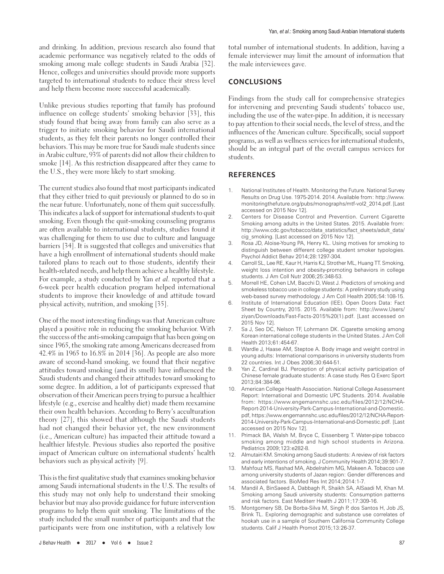and drinking. In addition, previous research also found that academic performance was negatively related to the odds of smoking among male college students in Saudi Arabia [32]. Hence, colleges and universities should provide more supports targeted to international students to reduce their stress level and help them become more successful academically.

Unlike previous studies reporting that family has profound influence on college students' smoking behavior [33], this study found that being away from family can also serve as a trigger to initiate smoking behavior for Saudi international students, as they felt their parents no longer controlled their behaviors. This may be more true for Saudi male students since in Arabic culture, 93% of parents did not allow their children to smoke [14]. As this restriction disappeared after they came to the U.S., they were more likely to start smoking.

The current studies also found that most participants indicated that they either tried to quit previously or planned to do so in the near future. Unfortunately, none of them quit successfully. This indicates a lack of support for international students to quit smoking. Even though the quit-smoking counseling programs are often available to international students, studies found it was challenging for them to use due to culture and language barriers [34]. It is suggested that colleges and universities that have a high enrollment of international students should make tailored plans to reach out to those students, identify their health-related needs, and help them achieve a healthy lifestyle. For example, a study conducted by Yan et al. reported that a 6-week peer health education program helped international students to improve their knowledge of and attitude toward physical activity, nutrition, and smoking [35].

One of the most interesting findings was that American culture played a positive role in reducing the smoking behavior. With the success of the anti-smoking campaign that has been going on since 1965, the smoking rate among Americans decreased from 42.4% in 1965 to 16.8% in 2014 [36]. As people are also more aware of second-hand smoking, we found that their negative attitudes toward smoking (and its smell) have influenced the Saudi students and changed their attitudes toward smoking to some degree. In addition, a lot of participants expressed that observation of their American peers trying to pursue a healthier lifestyle (e.g., exercise and healthy diet) made them reexamine their own health behaviors. According to Berry's acculturation theory [27], this showed that although the Saudi students had not changed their behavior yet, the new environment (i.e., American culture) has impacted their attitude toward a healthier lifestyle. Previous studies also reported the positive impact of American culture on international students' health behaviors such as physical activity [9].

This is the first qualitative study that examines smoking behavior among Saudi international students in the U.S. The results of this study may not only help to understand their smoking behavior but may also provide guidance for future intervention programs to help them quit smoking. The limitations of the study included the small number of participants and that the participants were from one institution, with a relatively low total number of international students. In addition, having a female interviewer may limit the amount of information that the male interviewees gave.

#### **CONCLUSIONS**

Findings from the study call for comprehensive strategies for intervening and preventing Saudi students' tobacco use, including the use of the water-pipe. In addition, it is necessary to pay attention to their social needs, the level of stress, and the influences of the American culture. Specifically, social support programs, as well as wellness services for international students, should be an integral part of the overall campus services for students.

#### **REFERENCES**

- 1. National Institutes of Health. Monitoring the Future. National Survey Results on Drug Use. 1975-2014. 2014. Available from: http://www. monitoringthefuture.org/pubs/monographs/mtf-vol2\_2014.pdf. [Last accessed on 2015 Nov 12].
- 2. Centers for Disease Control and Prevention. Current Cigarette Smoking among adults in the United States. 2015. Available from: http://www.cdc.gov/tobacco/data\_statistics/fact\_sheets/adult\_data/ cig\_smoking. [Last accessed on 2015 Nov 12].
- 3. Rosa JD, Aloise-Young PA, Henry KL. Using motives for smoking to distinguish between different college student smoker typologies. Psychol Addict Behav 2014;28:1297-304.
- Carroll SL, Lee RE, Kaur H, Harris KJ, Strother ML, Huang TT. Smoking, weight loss intention and obesity-promoting behaviors in college students. J Am Coll Nutr 2006;25:348-53.
- 5. Morrell HE, Cohen LM, Bacchi D, West J. Predictors of smoking and smokeless tobacco use in college students: A preliminary study using web-based survey methodology. J Am Coll Health 2005;54:108-15.
- 6. Institute of International Education (IEE). Open Doors Data: Fact Sheet by Country, 2015. 2015. Available from: http://www.Users/ ziyan/Downloads/Fast-Facts-2015%20(1).pdf. [Last accessed on 2015 Nov 12].
- 7. Sa J, Seo DC, Nelson TF, Lohrmann DK. Cigarette smoking among Korean international college students in the United States. J Am Coll Health 2013;61:454-67.
- 8. Wardle J, Haase AM, Steptoe A. Body image and weight control in young adults: International comparisons in university students from 22 countries. Int J Obes 2006;30:644-51.
- 9. Yan Z, Cardinal BJ. Perception of physical activity participation of Chinese female graduate students: A case study. Res Q Exerc Sport 2013;84:384-96.
- 10. American College Health Association. National College Assessment Report: International and Domestic UPC Students. 2014. Available from: https://www.engemannshc.usc.edu/files/2012/12/NCHA-Report-2014-University-Park-Campus-International-and-Domestic. pdf, https://www.engemannshc.usc.edu/files/2012/12/NCHA-Report-2014-University-Park-Campus-International-and-Domestic.pdf. [Last accessed on 2015 Nov 12].
- 11. Primack BA, Walsh M, Bryce C, Eissenberg T. Water-pipe tobacco smoking among middle and high school students in Arizona. Pediatrics 2009;123:e282-8.
- 12. Almutairi KM. Smoking among Saudi students: A review of risk factors and early intentions of smoking. J Community Health 2014;39:901-7.
- 13. Mahfouz MS, Rashad MA, Abdelrahim MG, Makeen A. Tobacco use among university students of Jazan region: Gender differences and associated factors. BioMed Res Int 2014;2014:1-7.
- 14. Mandil A, BinSaeed A, Dabbagh R, Shaikh SA, AlSaadi M, Khan M. Smoking among Saudi university students: Consumption patterns and risk factors. East Mediterr Health J 2011;17:309-16.
- 15. Montgomery SB, De Borba-Silva M, Singh P, dos Santos H, Job JS, Brink TL. Exploring demographic and substance use correlates of hookah use in a sample of Southern California Community College students. Calif J Health Promot 2015;13:26-37.